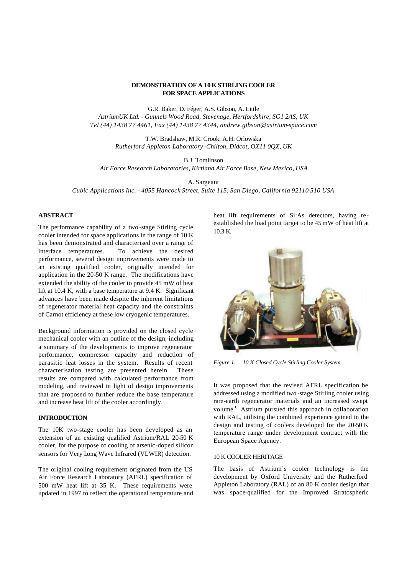### **DEMONSTRATION OF A 10 K STIRLING COOLER FOR SPACE APPLICATIONS**

G.R. Baker, D. Féger, A.S. Gibson, A. Little *AstriumUK Ltd. - Gunnels Wood Road, Stevenage, Hertfordshire, SG1 2AS, UK Tel (44) 1438 77 4461, Fax (44) 1438 77 4344, andrew.gibson@astrium-space.com*

> T.W. Bradshaw, M.R. Crook, A.H. Orlowska *Rutherford Appleton Laboratory -Chilton, Didcot, OX11 0QX, UK*

> > B.J. Tomlinson

*Air Force Research Laboratories, Kirtland Air Force Base, New Mexico, USA*

A. Sargeant

*Cubic Applications Inc. - 4055 Hancock Street, Suite 115, San Diego, California 92110-510 USA*

# **ABSTRACT**

The performance capability of a two -stage Stirling cycle cooler intended for space applications in the range of 10 K has been demonstrated and characterised over a range of interface temperatures. To achieve the desired performance, several design improvements were made to an existing qualified cooler, originally intended for application in the 20-50 K range. The modifications have extended the ability of the cooler to provide 45 mW of heat lift at 10.4 K, with a base temperature at 9.4 K. Significant advances have been made despite the inherent limitations of regenerator material heat capacity and the constraints of Carnot efficiency at these low cryogenic temperatures.

Background information is provided on the closed cycle mechanical cooler with an outline of the design, including a summary of the developments to improve regenerator performance, compressor capacity and reduction of parasitic heat losses in the system. Results of recent characterisation testing are presented herein. These results are compared with calculated performance from modeling, and reviewed in light of design improvements that are proposed to further reduce the base temperature and increase heat lift of the cooler accordingly.

## **INTRODUCTION**

The 10K two-stage cooler has been developed as an extension of an existing qualified Astrium/RAL 20-50 K cooler, for the purpose of cooling of arsenic-doped silicon sensors for Very Long Wave Infrared (VLWIR) detection.

The original cooling requirement originated from the US Air Force Research Laboratory (AFRL) specification of 500 mW heat lift at 35 K. These requirements were updated in 1997 to reflect the operational temperature and heat lift requirements of Si:As detectors, having reestablished the load point target to be 45 mW of heat lift at 10.3 K.



*Figure 1. 10 K Closed Cycle Stirling Cooler System* 

It was proposed that the revised AFRL specification be addressed using a modified two -stage Stirling cooler using rare-earth regenerator materials and an increased swept volume.<sup>1</sup> Astrium pursued this approach in collaboration with RAL, utilising the combined experience gained in the design and testing of coolers developed for the 20-50 K temperature range under development contract with the European Space Agency.

#### 10 K COOLER HERITAGE

The basis of Astrium's cooler technology is the development by Oxford University and the Rutherford Appleton Laboratory (RAL) of an 80 K cooler design that was space-qualified for the Improved Stratospheric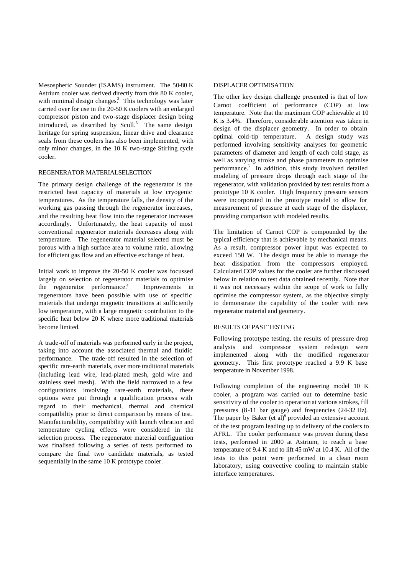Mesospheric Sounder (ISAMS) instrument. The 50-80 K Astrium cooler was derived directly from this 80 K cooler, with minimal design changes.<sup>2</sup> This technology was later carried over for use in the 20-50 K coolers with an enlarged compressor piston and two-stage displacer design being introduced, as described by Scull. $3$  The same design heritage for spring suspension, linear drive and clearance seals from these coolers has also been implemented, with only minor changes, in the 10 K two-stage Stirling cycle cooler.

#### REGENERATOR MATERIAL SELECTION

The primary design challenge of the regenerator is the restricted heat capacity of materials at low cryogenic temperatures. As the temperature falls, the density of the working gas passing through the regenerator increases, and the resulting heat flow into the regenerator increases accordingly. Unfortunately, the heat capacity of most conventional regenerator materials decreases along with temperature. The regenerator material selected must be porous with a high surface area to volume ratio, allowing for efficient gas flow and an effective exchange of heat.

Initial work to improve the 20-50 K cooler was focussed largely on selection of regenerator materials to optimise the regenerator performance.<sup>4</sup> Improvements in regenerators have been possible with use of specific materials that undergo magnetic transitions at sufficiently low temperature, with a large magnetic contribution to the specific heat below 20 K where more traditional materials become limited.

A trade-off of materials was performed early in the project, taking into account the associated thermal and fluidic performance. The trade-off resulted in the selection of specific rare-earth materials, over more traditional materials (including lead wire, lead-plated mesh, gold wire and stainless steel mesh). With the field narrowed to a few configurations involving rare-earth materials, these options were put through a qualification process with regard to their mechanical, thermal and chemical compatibility prior to direct comparison by means of test. Manufacturability, compatibility with launch vibration and temperature cycling effects were considered in the selection process. The regenerator material configuration was finalised following a series of tests performed to compare the final two candidate materials, as tested sequentially in the same 10 K prototype cooler.

#### DISPLACER OPTIMISATION

The other key design challenge presented is that of low Carnot coefficient of performance (COP) at low temperature. Note that the maximum COP achievable at 10 K is 3.4%. Therefore, considerable attention was taken in design of the displacer geometry. In order to obtain optimal cold-tip temperature. A design study was performed involving sensitivity analyses for geometric parameters of diameter and length of each cold stage, as well as varying stroke and phase parameters to optimise performance.<sup>5</sup> In addition, this study involved detailed modeling of pressure drops through each stage of the regenerator, with validation provided by test results from a prototype 10 K cooler. High frequency pressure sensors were incorporated in the prototype model to allow for measurement of pressure at each stage of the displacer, providing comparison with modeled results.

The limitation of Carnot COP is compounded by the typical efficiency that is achievable by mechanical means. As a result, compressor power input was expected to exceed 150 W. The design must be able to manage the heat dissipation from the compressors employed. Calculated COP values for the cooler are further discussed below in relation to test data obtained recently. Note that it was not necessary within the scope of work to fully optimise the compressor system, as the objective simply to demonstrate the capability of the cooler with new regenerator material and geometry.

## RESULTS OF PAST TESTING

Following prototype testing, the results of pressure drop analysis and compressor system redesign were implemented along with the modified regenerator geometry. This first prototype reached a 9.9 K base temperature in November 1998.

Following completion of the engineering model 10 K cooler, a program was carried out to determine basic sensitivity of the cooler to operation at various strokes, fill pressures (8-11 bar gauge) and frequencies (24-32 Hz). The paper by Baker (et al) $<sup>6</sup>$  provided an extensive account</sup> of the test program leading up to delivery of the coolers to AFRL. The cooler performance was proven during these tests, performed in 2000 at Astrium, to reach a base temperature of 9.4 K and to lift 45 mW at 10.4 K. All of the tests to this point were performed in a clean room laboratory, using convective cooling to maintain stable interface temperatures.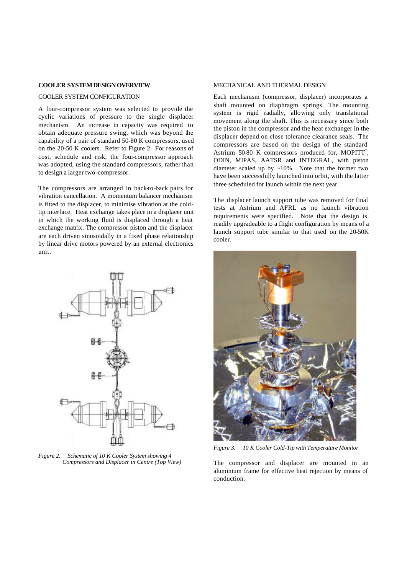#### **COOLER SYSTEM DESIGN OVERVIEW**

#### COOLER SYSTEM CONFIGURATION

A four-compressor system was selected to provide the cyclic variations of pressure to the single displacer mechanism. An increase in capacity was required to obtain adequate pressure swing, which was beyond the capability of a pair of standard 50-80 K compressors, used on the 20-50 K coolers. Refer to Figure 2. For reasons of cost, schedule and risk, the four-compressor approach was adopted, using the standard compressors, rather than to design a larger two-compressor.

The compressors are arranged in back-to-back pairs for vibration cancellation. A momentum balancer mechanism is fitted to the displacer, to minimise vibration at the coldtip interface. Heat exchange takes place in a displacer unit in which the working fluid is displaced through a heat exchange matrix. The compressor piston and the displacer are each driven sinusoidally in a fixed phase relationship by linear drive motors powered by an external electronics unit.



*Figure 2. Schematic of 10 K Cooler System showing 4 Compressors and Displacer in Centre (Top View)*

### MECHANICAL AND THERMAL DESIGN

Each mechanism (compressor, displacer) incorporates a shaft mounted on diaphragm springs. The mounting system is rigid radially, allowing only translational movement along the shaft. This is necessary since both the piston in the compressor and the heat exchanger in the displacer depend on close tolerance clearance seals. The compressors are based on the design of the standard Astrium 50-80 K compressors produced for, MOPITT<sup>7</sup>, ODIN, MIPAS, AATSR and INTEGRAL, with piston diameter scaled up by  $\sim 10\%$ . Note that the former two have been successfully launched into orbit, with the latter three scheduled for launch within the next year.

The displacer launch support tube was removed for final tests at Astrium and AFRL as no launch vibration requirements were specified. Note that the design is readily upgradeable to a flight configuration by means of a launch support tube similar to that used on the 20-50K cooler.



*Figure 3. 10 K Cooler Cold-Tip with Temperature Monitor*

The compressor and displacer are mounted in an aluminium frame for effective heat rejection by means of conduction.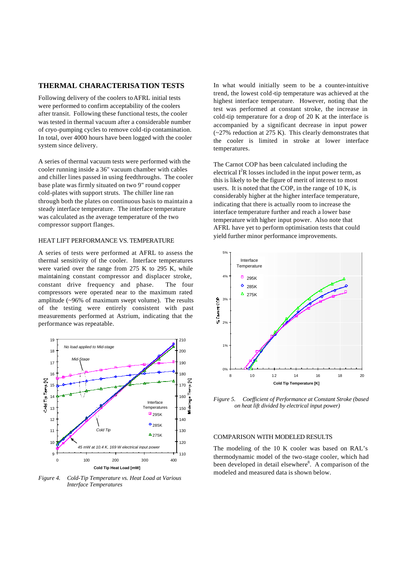# **THERMAL CHARACTERISATION TESTS**

Following delivery of the coolers to AFRL initial tests were performed to confirm acceptability of the coolers after transit. Following these functional tests, the cooler was tested in thermal vacuum after a considerable number of cryo-pumping cycles to remove cold-tip contamination. In total, over 4000 hours have been logged with the cooler system since delivery.

A series of thermal vacuum tests were performed with the cooler running inside a 36" vacuum chamber with cables and chiller lines passed in using feedthroughs. The cooler base plate was firmly situated on two 9" round copper cold-plates with support struts. The chiller line ran through both the plates on continuous basis to maintain a steady interface temperature. The interface temperature was calculated as the average temperature of the two compressor support flanges.

## HEAT LIFT PERFORMANCE VS. TEMPERATURE

A series of tests were performed at AFRL to assess the thermal sensitivity of the cooler. Interface temperatures were varied over the range from 275 K to 295 K, while maintaining constant compressor and displacer stroke, constant drive frequency and phase. The four compressors were operated near to the maximum rated amplitude (~96% of maximum swept volume). The results of the testing were entirely consistent with past measurements performed at Astrium, indicating that the performance was repeatable.



*Figure 4. Cold-Tip Temperature vs. Heat Load at Various Interface Temperatures* 

In what would initially seem to be a counter-intuitive trend, the lowest cold-tip temperature was achieved at the highest interface temperature. However, noting that the test was performed at constant stroke, the increase in cold-tip temperature for a drop of 20 K at the interface is accompanied by a significant decrease in input power (~27% reduction at 275 K). This clearly demonstrates that the cooler is limited in stroke at lower interface temperatures.

The Carnot COP has been calculated including the electrical  $I^2R$  losses included in the input power term, as this is likely to be the figure of merit of interest to most users. It is noted that the COP, in the range of 10 K, is considerably higher at the higher interface temperature, indicating that there is actually room to increase the interface temperature further and reach a lower base temperature with higher input power. Also note that AFRL have yet to perform optimisation tests that could yield further minor performance improvements.



*Figure 5. Coefficient of Performance at Constant Stroke (based on heat lift divided by electrical input power)*

## COMPARISON WITH MODELED RESULTS

The modeling of the 10 K cooler was based on RAL's thermodynamic model of the two-stage cooler, which had been developed in detail elsewhere<sup>8</sup>. A comparison of the modeled and measured data is shown below.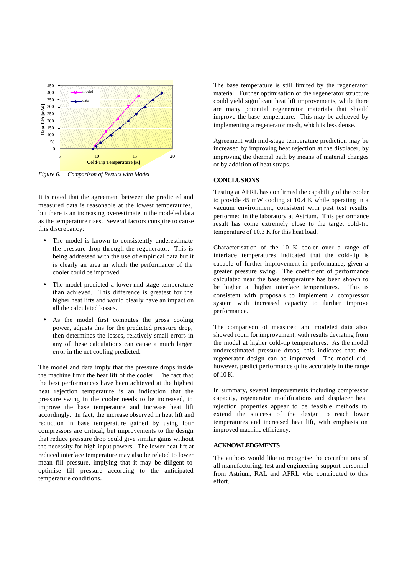

*Figure 6. Comparison of Results with Model*

It is noted that the agreement between the predicted and measured data is reasonable at the lowest temperatures, but there is an increasing overestimate in the modeled data as the temperature rises. Several factors conspire to cause this discrepancy:

- The model is known to consistently underestimate the pressure drop through the regenerator. This is being addressed with the use of empirical data but it is clearly an area in which the performance of the cooler could be improved.
- The model predicted a lower mid-stage temperature than achieved. This difference is greatest for the higher heat lifts and would clearly have an impact on all the calculated losses.
- As the model first computes the gross cooling power, adjusts this for the predicted pressure drop, then determines the losses, relatively small errors in any of these calculations can cause a much larger error in the net cooling predicted.

The model and data imply that the pressure drops inside the machine limit the heat lift of the cooler. The fact that the best performances have been achieved at the highest heat rejection temperature is an indication that the pressure swing in the cooler needs to be increased, to improve the base temperature and increase heat lift accordingly. In fact, the increase observed in heat lift and reduction in base temperature gained by using four compressors are critical, but improvements to the design that reduce pressure drop could give similar gains without the necessity for high input powers. The lower heat lift at reduced interface temperature may also be related to lower mean fill pressure, implying that it may be diligent to optimise fill pressure according to the anticipated temperature conditions.

The base temperature is still limited by the regenerator material. Further optimisation of the regenerator structure could yield significant heat lift improvements, while there are many potential regenerator materials that should improve the base temperature. This may be achieved by implementing a regenerator mesh, which is less dense.

Agreement with mid-stage temperature prediction may be increased by improving heat rejection at the displacer, by improving the thermal path by means of material changes or by addition of heat straps.

#### **CONCLUSIONS**

Testing at AFRL has confirmed the capability of the cooler to provide 45 mW cooling at 10.4 K while operating in a vacuum environment, consistent with past test results performed in the laboratory at Astrium. This performance result has come extremely close to the target cold-tip temperature of 10.3 K for this heat load.

Characterisation of the 10 K cooler over a range of interface temperatures indicated that the cold-tip is capable of further improvement in performance, given a greater pressure swing. The coefficient of performance calculated near the base temperature has been shown to be higher at higher interface temperatures. This is consistent with proposals to implement a compressor system with increased capacity to further improve performance.

The comparison of measure d and modeled data also showed room for improvement, with results deviating from the model at higher cold-tip temperatures. As the model underestimated pressure drops, this indicates that the regenerator design can be improved. The model did, however, predict performance quite accurately in the range of 10 K.

In summary, several improvements including compressor capacity, regenerator modifications and displacer heat rejection properties appear to be feasible methods to extend the success of the design to reach lower temperatures and increased heat lift, with emphasis on improved machine efficiency.

## **ACKNOWLEDGMENTS**

The authors would like to recognise the contributions of all manufacturing, test and engineering support personnel from Astrium, RAL and AFRL who contributed to this effort.